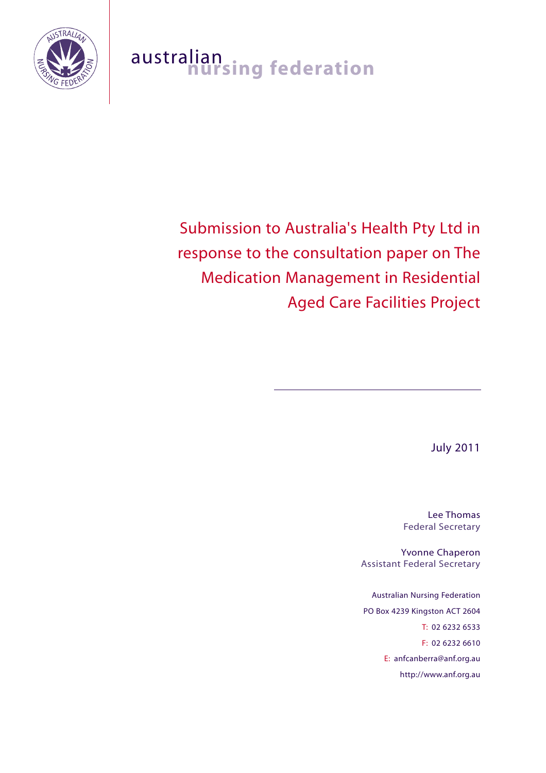

# australian<br>**nursing federation**

# Submission to Australia's Health Pty Ltd in response to the consultation paper on The Medication Management in Residential Aged Care Facilities Project

July 2011

Lee Thomas Federal Secretary

Yvonne Chaperon Assistant Federal Secretary

Australian Nursing Federation PO Box 4239 Kingston ACT 2604 T: 02 6232 6533 F: 02 6232 6610 E: anfcanberra@anf.org.au http://www.anf.org.au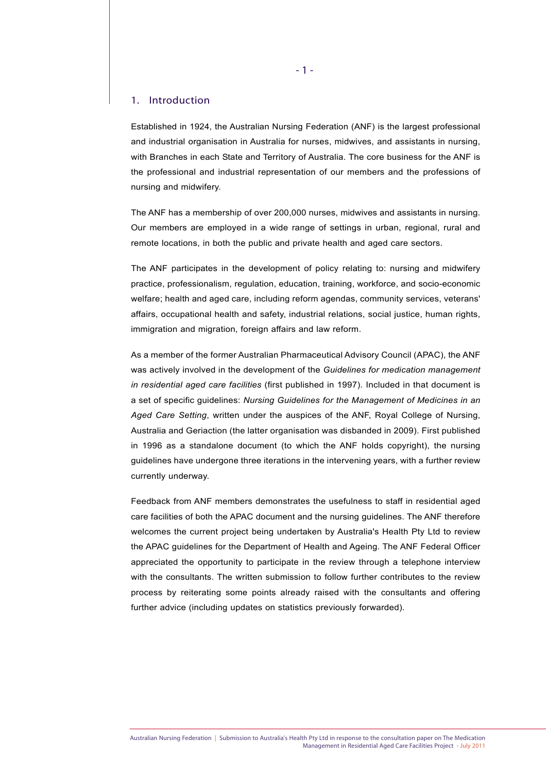#### 1. Introduction

Established in 1924, the Australian Nursing Federation (ANF) is the largest professional and industrial organisation in Australia for nurses, midwives, and assistants in nursing, with Branches in each State and Territory of Australia. The core business for the ANF is the professional and industrial representation of our members and the professions of nursing and midwifery.

The ANF has a membership of over 200,000 nurses, midwives and assistants in nursing. Our members are employed in a wide range of settings in urban, regional, rural and remote locations, in both the public and private health and aged care sectors.

The ANF participates in the development of policy relating to: nursing and midwifery practice, professionalism, regulation, education, training, workforce, and socio-economic welfare; health and aged care, including reform agendas, community services, veterans' affairs, occupational health and safety, industrial relations, social justice, human rights, immigration and migration, foreign affairs and law reform.

As a member of the former Australian Pharmaceutical Advisory Council (APAC), the ANF was actively involved in the development of the *Guidelines for medication management in residential aged care facilities* (first published in 1997). Included in that document is a set of specific guidelines: *Nursing Guidelines for the Management of Medicines in an Aged Care Setting*, written under the auspices of the ANF, Royal College of Nursing, Australia and Geriaction (the latter organisation was disbanded in 2009). First published in 1996 as a standalone document (to which the ANF holds copyright), the nursing guidelines have undergone three iterations in the intervening years, with a further review currently underway.

Feedback from ANF members demonstrates the usefulness to staff in residential aged care facilities of both the APAC document and the nursing guidelines. The ANF therefore welcomes the current project being undertaken by Australia's Health Pty Ltd to review the APAC guidelines for the Department of Health and Ageing. The ANF Federal Officer appreciated the opportunity to participate in the review through a telephone interview with the consultants. The written submission to follow further contributes to the review process by reiterating some points already raised with the consultants and offering further advice (including updates on statistics previously forwarded).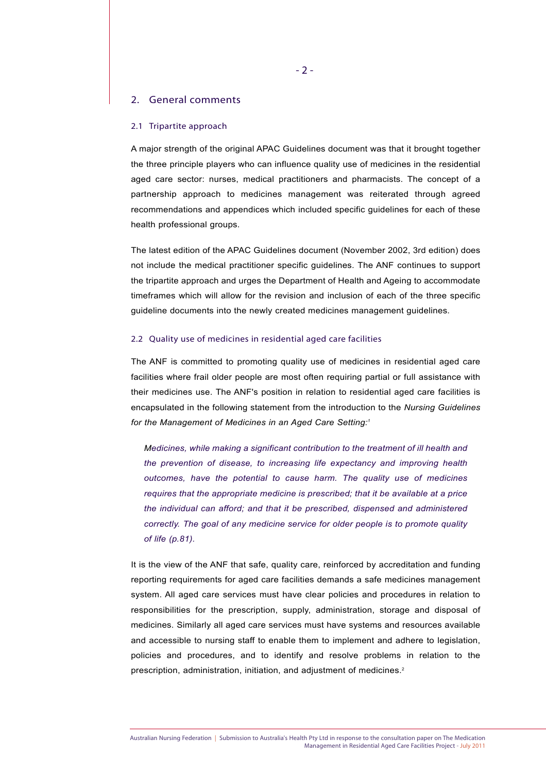#### 2. General comments

#### 2.1 Tripartite approach

A major strength of the original APAC Guidelines document was that it brought together the three principle players who can influence quality use of medicines in the residential aged care sector: nurses, medical practitioners and pharmacists. The concept of a partnership approach to medicines management was reiterated through agreed recommendations and appendices which included specific guidelines for each of these health professional groups.

The latest edition of the APAC Guidelines document (November 2002, 3rd edition) does not include the medical practitioner specific guidelines. The ANF continues to support the tripartite approach and urges the Department of Health and Ageing to accommodate timeframes which will allow for the revision and inclusion of each of the three specific guideline documents into the newly created medicines management guidelines.

#### 2.2 Quality use of medicines in residential aged care facilities

The ANF is committed to promoting quality use of medicines in residential aged care facilities where frail older people are most often requiring partial or full assistance with their medicines use. The ANF's position in relation to residential aged care facilities is encapsulated in the following statement from the introduction to the *Nursing Guidelines for the Management of Medicines in an Aged Care Setting:1*

*Medicines, while making a significant contribution to the treatment of ill health and the prevention of disease, to increasing life expectancy and improving health outcomes, have the potential to cause harm. The quality use of medicines requires that the appropriate medicine is prescribed; that it be available at a price the individual can afford; and that it be prescribed, dispensed and administered correctly. The goal of any medicine service for older people is to promote quality of life (p.81).*

It is the view of the ANF that safe, quality care, reinforced by accreditation and funding reporting requirements for aged care facilities demands a safe medicines management system. All aged care services must have clear policies and procedures in relation to responsibilities for the prescription, supply, administration, storage and disposal of medicines. Similarly all aged care services must have systems and resources available and accessible to nursing staff to enable them to implement and adhere to legislation, policies and procedures, and to identify and resolve problems in relation to the prescription, administration, initiation, and adjustment of medicines.<sup>2</sup>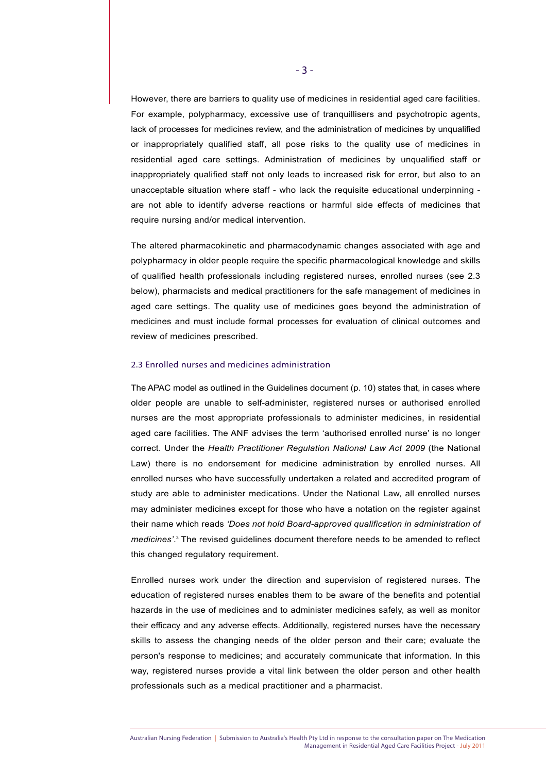However, there are barriers to quality use of medicines in residential aged care facilities. For example, polypharmacy, excessive use of tranquillisers and psychotropic agents, lack of processes for medicines review, and the administration of medicines by unqualified or inappropriately qualified staff, all pose risks to the quality use of medicines in residential aged care settings. Administration of medicines by unqualified staff or inappropriately qualified staff not only leads to increased risk for error, but also to an unacceptable situation where staff - who lack the requisite educational underpinning are not able to identify adverse reactions or harmful side effects of medicines that require nursing and/or medical intervention.

The altered pharmacokinetic and pharmacodynamic changes associated with age and polypharmacy in older people require the specific pharmacological knowledge and skills of qualified health professionals including registered nurses, enrolled nurses (see 2.3 below), pharmacists and medical practitioners for the safe management of medicines in aged care settings. The quality use of medicines goes beyond the administration of medicines and must include formal processes for evaluation of clinical outcomes and review of medicines prescribed.

#### 2.3 Enrolled nurses and medicines administration

The APAC model as outlined in the Guidelines document (p. 10) states that, in cases where older people are unable to self-administer, registered nurses or authorised enrolled nurses are the most appropriate professionals to administer medicines, in residential aged care facilities. The ANF advises the term 'authorised enrolled nurse' is no longer correct. Under the *Health Practitioner Regulation National Law Act 2009* (the National Law) there is no endorsement for medicine administration by enrolled nurses. All enrolled nurses who have successfully undertaken a related and accredited program of study are able to administer medications. Under the National Law, all enrolled nurses may administer medicines except for those who have a notation on the register against their name which reads *'Does not hold Board-approved qualification in administration of medicines'*. <sup>3</sup> The revised guidelines document therefore needs to be amended to reflect this changed regulatory requirement.

Enrolled nurses work under the direction and supervision of registered nurses. The education of registered nurses enables them to be aware of the benefits and potential hazards in the use of medicines and to administer medicines safely, as well as monitor their efficacy and any adverse effects. Additionally, registered nurses have the necessary skills to assess the changing needs of the older person and their care; evaluate the person's response to medicines; and accurately communicate that information. In this way, registered nurses provide a vital link between the older person and other health professionals such as a medical practitioner and a pharmacist.

Australian Nursing Federation | Submission to Australia's Health Pty Ltd in response to the consultation paper on The Medication Management in Residential Aged Care Facilities Project - July 2011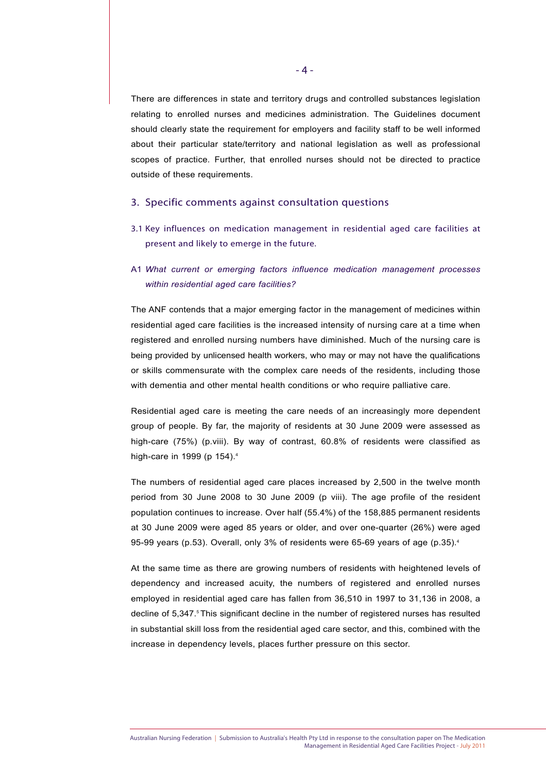There are differences in state and territory drugs and controlled substances legislation relating to enrolled nurses and medicines administration. The Guidelines document should clearly state the requirement for employers and facility staff to be well informed about their particular state/territory and national legislation as well as professional scopes of practice. Further, that enrolled nurses should not be directed to practice outside of these requirements.

#### 3. Specific comments against consultation questions

- 3.1 Key influences on medication management in residential aged care facilities at present and likely to emerge in the future.
- A1 *What current or emerging factors influence medication management processes within residential aged care facilities?*

The ANF contends that a major emerging factor in the management of medicines within residential aged care facilities is the increased intensity of nursing care at a time when registered and enrolled nursing numbers have diminished. Much of the nursing care is being provided by unlicensed health workers, who may or may not have the qualifications or skills commensurate with the complex care needs of the residents, including those with dementia and other mental health conditions or who require palliative care.

Residential aged care is meeting the care needs of an increasingly more dependent group of people. By far, the majority of residents at 30 June 2009 were assessed as high-care (75%) (p.viii). By way of contrast, 60.8% of residents were classified as high-care in 1999 (p 154).<sup>4</sup>

The numbers of residential aged care places increased by 2,500 in the twelve month period from 30 June 2008 to 30 June 2009 (p viii). The age profile of the resident population continues to increase. Over half (55.4%) of the 158,885 permanent residents at 30 June 2009 were aged 85 years or older, and over one-quarter (26%) were aged 95-99 years (p.53). Overall, only 3% of residents were 65-69 years of age (p.35).<sup>4</sup>

At the same time as there are growing numbers of residents with heightened levels of dependency and increased acuity, the numbers of registered and enrolled nurses employed in residential aged care has fallen from 36,510 in 1997 to 31,136 in 2008, a decline of 5,347.<sup>5</sup> This significant decline in the number of registered nurses has resulted in substantial skill loss from the residential aged care sector, and this, combined with the increase in dependency levels, places further pressure on this sector.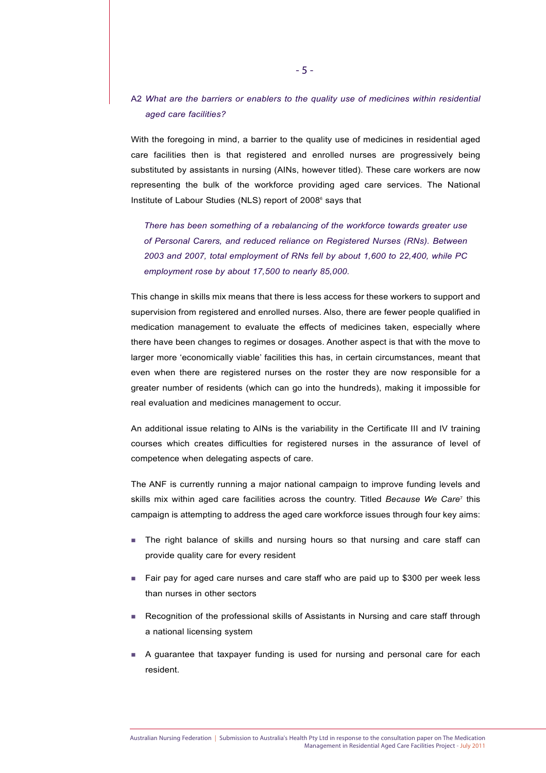# A2 *What are the barriers or enablers to the quality use of medicines within residential aged care facilities?*

With the foregoing in mind, a barrier to the quality use of medicines in residential aged care facilities then is that registered and enrolled nurses are progressively being substituted by assistants in nursing (AINs, however titled). These care workers are now representing the bulk of the workforce providing aged care services. The National Institute of Labour Studies (NLS) report of 2008<sup>6</sup> says that

*There has been something of a rebalancing of the workforce towards greater use of Personal Carers, and reduced reliance on Registered Nurses (RNs). Between 2003 and 2007, total employment of RNs fell by about 1,600 to 22,400, while PC employment rose by about 17,500 to nearly 85,000.*

This change in skills mix means that there is less access for these workers to support and supervision from registered and enrolled nurses. Also, there are fewer people qualified in medication management to evaluate the effects of medicines taken, especially where there have been changes to regimes or dosages. Another aspect is that with the move to larger more 'economically viable' facilities this has, in certain circumstances, meant that even when there are registered nurses on the roster they are now responsible for a greater number of residents (which can go into the hundreds), making it impossible for real evaluation and medicines management to occur.

An additional issue relating to AINs is the variability in the Certificate III and IV training courses which creates difficulties for registered nurses in the assurance of level of competence when delegating aspects of care.

The ANF is currently running a major national campaign to improve funding levels and skills mix within aged care facilities across the country. Titled *Because We Care*<sup>7</sup> this campaign is attempting to address the aged care workforce issues through four key aims:

- The right balance of skills and nursing hours so that nursing and care staff can provide quality care for every resident
- $\blacksquare$  Fair pay for aged care nurses and care staff who are paid up to \$300 per week less than nurses in other sectors
- Recognition of the professional skills of Assistants in Nursing and care staff through a national licensing system
- A guarantee that taxpayer funding is used for nursing and personal care for each resident.

Australian Nursing Federation | Submission to Australia's Health Pty Ltd in response to the consultation paper on The Medication Management in Residential Aged Care Facilities Project - July 2011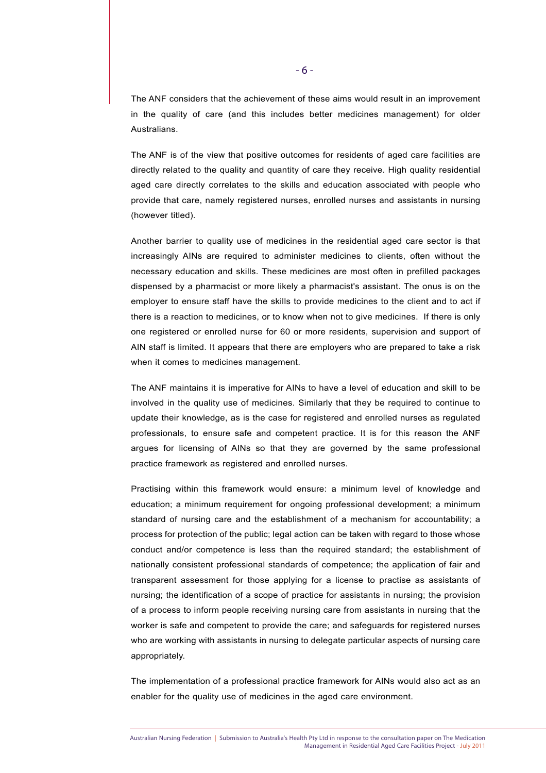The ANF considers that the achievement of these aims would result in an improvement in the quality of care (and this includes better medicines management) for older Australians.

The ANF is of the view that positive outcomes for residents of aged care facilities are directly related to the quality and quantity of care they receive. High quality residential aged care directly correlates to the skills and education associated with people who provide that care, namely registered nurses, enrolled nurses and assistants in nursing (however titled).

Another barrier to quality use of medicines in the residential aged care sector is that increasingly AINs are required to administer medicines to clients, often without the necessary education and skills. These medicines are most often in prefilled packages dispensed by a pharmacist or more likely a pharmacist's assistant. The onus is on the employer to ensure staff have the skills to provide medicines to the client and to act if there is a reaction to medicines, or to know when not to give medicines. If there is only one registered or enrolled nurse for 60 or more residents, supervision and support of AIN staff is limited. It appears that there are employers who are prepared to take a risk when it comes to medicines management.

The ANF maintains it is imperative for AINs to have a level of education and skill to be involved in the quality use of medicines. Similarly that they be required to continue to update their knowledge, as is the case for registered and enrolled nurses as regulated professionals, to ensure safe and competent practice. It is for this reason the ANF argues for licensing of AINs so that they are governed by the same professional practice framework as registered and enrolled nurses.

Practising within this framework would ensure: a minimum level of knowledge and education; a minimum requirement for ongoing professional development; a minimum standard of nursing care and the establishment of a mechanism for accountability; a process for protection of the public; legal action can be taken with regard to those whose conduct and/or competence is less than the required standard; the establishment of nationally consistent professional standards of competence; the application of fair and transparent assessment for those applying for a license to practise as assistants of nursing; the identification of a scope of practice for assistants in nursing; the provision of a process to inform people receiving nursing care from assistants in nursing that the worker is safe and competent to provide the care; and safeguards for registered nurses who are working with assistants in nursing to delegate particular aspects of nursing care appropriately.

The implementation of a professional practice framework for AINs would also act as an enabler for the quality use of medicines in the aged care environment.

Australian Nursing Federation | Submission to Australia's Health Pty Ltd in response to the consultation paper on The Medication Management in Residential Aged Care Facilities Project - July 2011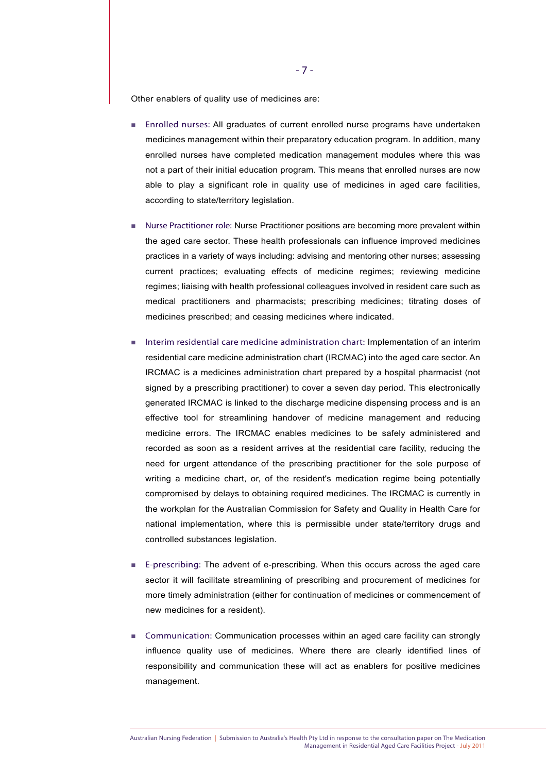Other enablers of quality use of medicines are:

- Enrolled nurses: All graduates of current enrolled nurse programs have undertaken medicines management within their preparatory education program. In addition, many enrolled nurses have completed medication management modules where this was not a part of their initial education program. This means that enrolled nurses are now able to play a significant role in quality use of medicines in aged care facilities, according to state/territory legislation.
- Nurse Practitioner role: Nurse Practitioner positions are becoming more prevalent within the aged care sector. These health professionals can influence improved medicines practices in a variety of ways including: advising and mentoring other nurses; assessing current practices; evaluating effects of medicine regimes; reviewing medicine regimes; liaising with health professional colleagues involved in resident care such as medical practitioners and pharmacists; prescribing medicines; titrating doses of medicines prescribed; and ceasing medicines where indicated.
- Interim residential care medicine administration chart: Implementation of an interim residential care medicine administration chart (IRCMAC) into the aged care sector. An IRCMAC is a medicines administration chart prepared by a hospital pharmacist (not signed by a prescribing practitioner) to cover a seven day period. This electronically generated IRCMAC is linked to the discharge medicine dispensing process and is an effective tool for streamlining handover of medicine management and reducing medicine errors. The IRCMAC enables medicines to be safely administered and recorded as soon as a resident arrives at the residential care facility, reducing the need for urgent attendance of the prescribing practitioner for the sole purpose of writing a medicine chart, or, of the resident's medication regime being potentially compromised by delays to obtaining required medicines. The IRCMAC is currently in the workplan for the Australian Commission for Safety and Quality in Health Care for national implementation, where this is permissible under state/territory drugs and controlled substances legislation.
- E-prescribing: The advent of e-prescribing. When this occurs across the aged care sector it will facilitate streamlining of prescribing and procurement of medicines for more timely administration (either for continuation of medicines or commencement of new medicines for a resident).
- Communication: Communication processes within an aged care facility can strongly influence quality use of medicines. Where there are clearly identified lines of responsibility and communication these will act as enablers for positive medicines management.

Australian Nursing Federation | Submission to Australia's Health Pty Ltd in response to the consultation paper on The Medication Management in Residential Aged Care Facilities Project - July 2011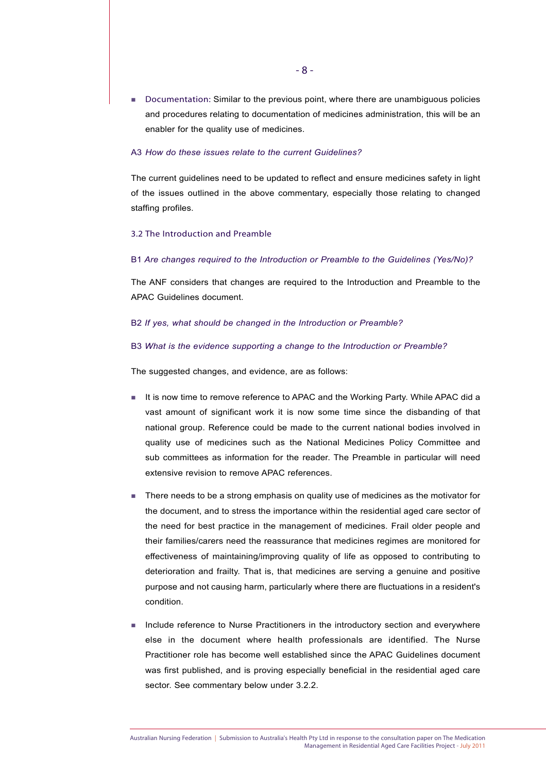**Documentation: Similar to the previous point, where there are unambiguous policies** and procedures relating to documentation of medicines administration, this will be an enabler for the quality use of medicines.

#### A3 *How do these issues relate to the current Guidelines?*

The current guidelines need to be updated to reflect and ensure medicines safety in light of the issues outlined in the above commentary, especially those relating to changed staffing profiles.

#### 3.2 The Introduction and Preamble

#### B1 *Are changes required to the Introduction or Preamble to the Guidelines (Yes/No)?*

The ANF considers that changes are required to the Introduction and Preamble to the APAC Guidelines document.

#### B2 *If yes, what should be changed in the Introduction or Preamble?*

#### B3 *What is the evidence supporting a change to the Introduction or Preamble?*

The suggested changes, and evidence, are as follows:

- It is now time to remove reference to APAC and the Working Party. While APAC did a vast amount of significant work it is now some time since the disbanding of that national group. Reference could be made to the current national bodies involved in quality use of medicines such as the National Medicines Policy Committee and sub committees as information for the reader. The Preamble in particular will need extensive revision to remove APAC references.
- There needs to be a strong emphasis on quality use of medicines as the motivator for the document, and to stress the importance within the residential aged care sector of the need for best practice in the management of medicines. Frail older people and their families/carers need the reassurance that medicines regimes are monitored for effectiveness of maintaining/improving quality of life as opposed to contributing to deterioration and frailty. That is, that medicines are serving a genuine and positive purpose and not causing harm, particularly where there are fluctuations in a resident's condition.
- **Include reference to Nurse Practitioners in the introductory section and everywhere** else in the document where health professionals are identified. The Nurse Practitioner role has become well established since the APAC Guidelines document was first published, and is proving especially beneficial in the residential aged care sector. See commentary below under 3.2.2.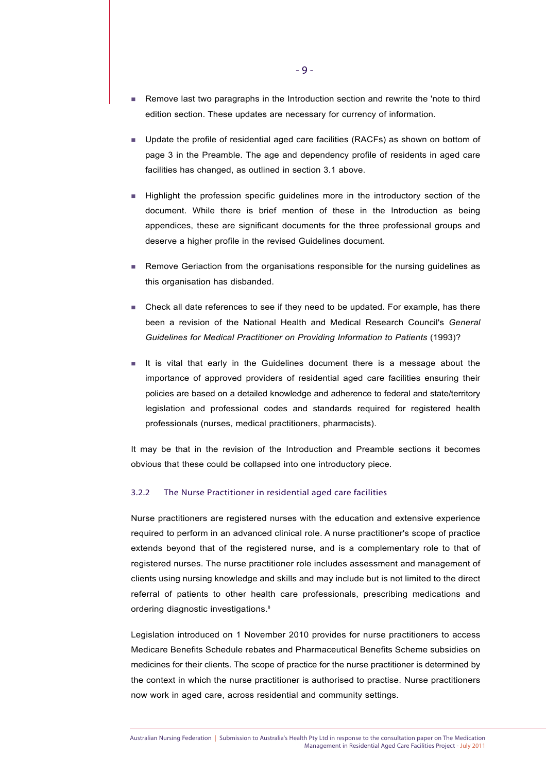- Remove last two paragraphs in the Introduction section and rewrite the 'note to third edition section. These updates are necessary for currency of information.
- Update the profile of residential aged care facilities (RACFs) as shown on bottom of page 3 in the Preamble. The age and dependency profile of residents in aged care facilities has changed, as outlined in section 3.1 above.
- **Highlight the profession specific guidelines more in the introductory section of the** document. While there is brief mention of these in the Introduction as being appendices, these are significant documents for the three professional groups and deserve a higher profile in the revised Guidelines document.
- **Remove Geriaction from the organisations responsible for the nursing guidelines as** this organisation has disbanded.
- Check all date references to see if they need to be updated. For example, has there been a revision of the National Health and Medical Research Council's *General Guidelines for Medical Practitioner on Providing Information to Patients* (1993)?
- It is vital that early in the Guidelines document there is a message about the importance of approved providers of residential aged care facilities ensuring their policies are based on a detailed knowledge and adherence to federal and state/territory legislation and professional codes and standards required for registered health professionals (nurses, medical practitioners, pharmacists).

It may be that in the revision of the Introduction and Preamble sections it becomes obvious that these could be collapsed into one introductory piece.

#### 3.2.2 The Nurse Practitioner in residential aged care facilities

Nurse practitioners are registered nurses with the education and extensive experience required to perform in an advanced clinical role. A nurse practitioner's scope of practice extends beyond that of the registered nurse, and is a complementary role to that of registered nurses. The nurse practitioner role includes assessment and management of clients using nursing knowledge and skills and may include but is not limited to the direct referral of patients to other health care professionals, prescribing medications and ordering diagnostic investigations.<sup>8</sup>

Legislation introduced on 1 November 2010 provides for nurse practitioners to access Medicare Benefits Schedule rebates and Pharmaceutical Benefits Scheme subsidies on medicines for their clients. The scope of practice for the nurse practitioner is determined by the context in which the nurse practitioner is authorised to practise. Nurse practitioners now work in aged care, across residential and community settings.

Australian Nursing Federation | Submission to Australia's Health Pty Ltd in response to the consultation paper on The Medication Management in Residential Aged Care Facilities Project - July 2011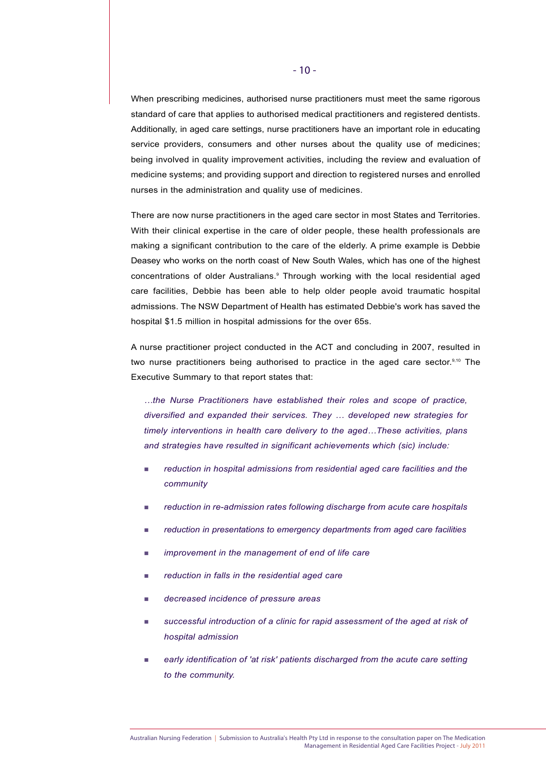When prescribing medicines, authorised nurse practitioners must meet the same rigorous standard of care that applies to authorised medical practitioners and registered dentists. Additionally, in aged care settings, nurse practitioners have an important role in educating service providers, consumers and other nurses about the quality use of medicines; being involved in quality improvement activities, including the review and evaluation of medicine systems; and providing support and direction to registered nurses and enrolled nurses in the administration and quality use of medicines.

There are now nurse practitioners in the aged care sector in most States and Territories. With their clinical expertise in the care of older people, these health professionals are making a significant contribution to the care of the elderly. A prime example is Debbie Deasey who works on the north coast of New South Wales, which has one of the highest concentrations of older Australians.9 Through working with the local residential aged care facilities, Debbie has been able to help older people avoid traumatic hospital admissions. The NSW Department of Health has estimated Debbie's work has saved the hospital \$1.5 million in hospital admissions for the over 65s.

A nurse practitioner project conducted in the ACT and concluding in 2007, resulted in two nurse practitioners being authorised to practice in the aged care sector.<sup>9,10</sup> The Executive Summary to that report states that:

*…the Nurse Practitioners have established their roles and scope of practice, diversified and expanded their services. They … developed new strategies for timely interventions in health care delivery to the aged…These activities, plans and strategies have resulted in significant achievements which (sic) include:*

- *reduction in hospital admissions from residential aged care facilities and the community*
- *reduction in re-admission rates following discharge from acute care hospitals*
- *reduction in presentations to emergency departments from aged care facilities*
- *improvement in the management of end of life care*
- *reduction in falls in the residential aged care*
- *decreased incidence of pressure areas*
- *successful introduction of a clinic for rapid assessment of the aged at risk of hospital admission*
- *early identification of 'at risk' patients discharged from the acute care setting to the community.*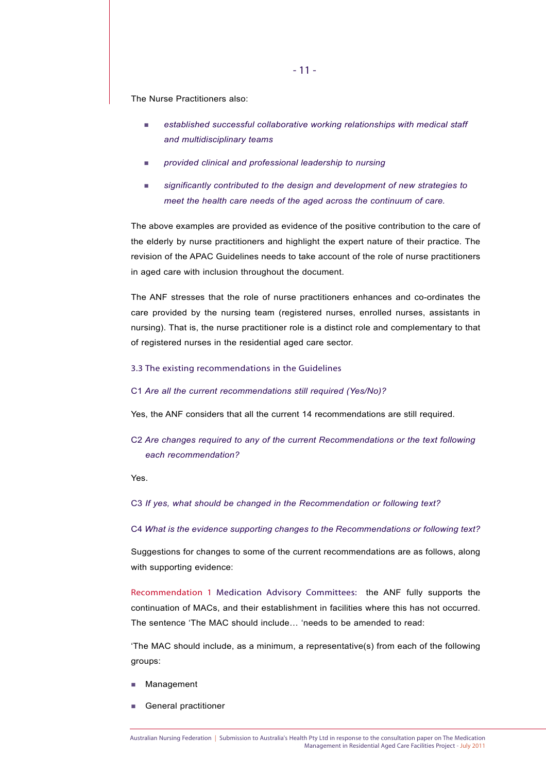The Nurse Practitioners also:

- *established successful collaborative working relationships with medical staff and multidisciplinary teams*
- *provided clinical and professional leadership to nursing*
- *significantly contributed to the design and development of new strategies to meet the health care needs of the aged across the continuum of care.*

The above examples are provided as evidence of the positive contribution to the care of the elderly by nurse practitioners and highlight the expert nature of their practice. The revision of the APAC Guidelines needs to take account of the role of nurse practitioners in aged care with inclusion throughout the document.

The ANF stresses that the role of nurse practitioners enhances and co-ordinates the care provided by the nursing team (registered nurses, enrolled nurses, assistants in nursing). That is, the nurse practitioner role is a distinct role and complementary to that of registered nurses in the residential aged care sector.

#### 3.3 The existing recommendations in the Guidelines

#### C1 *Are all the current recommendations still required (Yes/No)?*

Yes, the ANF considers that all the current 14 recommendations are still required.

C2 *Are changes required to any of the current Recommendations or the text following each recommendation?*

#### Yes.

C3 *If yes, what should be changed in the Recommendation or following text?* 

C4 *What is the evidence supporting changes to the Recommendations or following text?*

Suggestions for changes to some of the current recommendations are as follows, along with supporting evidence:

Recommendation 1 Medication Advisory Committees: the ANF fully supports the continuation of MACs, and their establishment in facilities where this has not occurred. The sentence 'The MAC should include… 'needs to be amended to read:

'The MAC should include, as a minimum, a representative(s) from each of the following groups:

- **Management**
- **General practitioner**

Management in Residential Aged Care Facilities Project - July 2011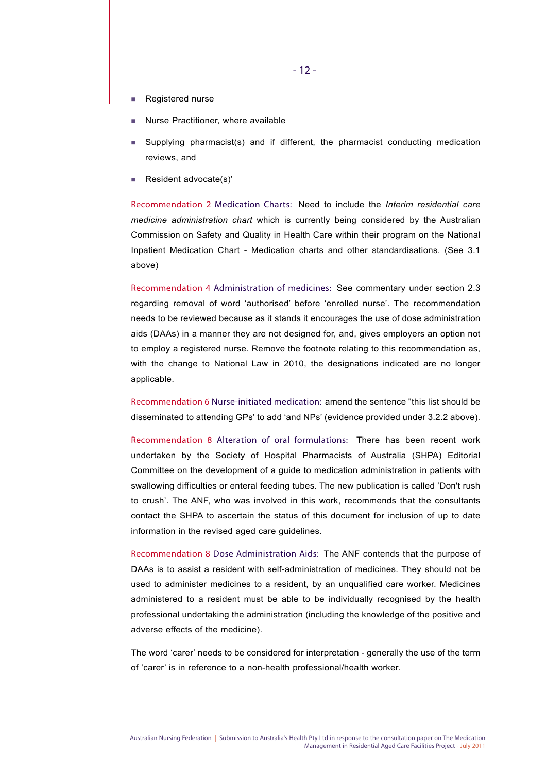- **Registered nurse**
- Nurse Practitioner, where available
- Supplying pharmacist(s) and if different, the pharmacist conducting medication reviews, and
- Resident advocate(s)'

Recommendation 2 Medication Charts: Need to include the *Interim residential care medicine administration chart* which is currently being considered by the Australian Commission on Safety and Quality in Health Care within their program on the National Inpatient Medication Chart - Medication charts and other standardisations. (See 3.1 above)

Recommendation 4 Administration of medicines: See commentary under section 2.3 regarding removal of word 'authorised' before 'enrolled nurse'. The recommendation needs to be reviewed because as it stands it encourages the use of dose administration aids (DAAs) in a manner they are not designed for, and, gives employers an option not to employ a registered nurse. Remove the footnote relating to this recommendation as, with the change to National Law in 2010, the designations indicated are no longer applicable.

Recommendation 6 Nurse-initiated medication: amend the sentence "this list should be disseminated to attending GPs' to add 'and NPs' (evidence provided under 3.2.2 above).

Recommendation 8 Alteration of oral formulations: There has been recent work undertaken by the Society of Hospital Pharmacists of Australia (SHPA) Editorial Committee on the development of a guide to medication administration in patients with swallowing difficulties or enteral feeding tubes. The new publication is called 'Don't rush to crush'. The ANF, who was involved in this work, recommends that the consultants contact the SHPA to ascertain the status of this document for inclusion of up to date information in the revised aged care guidelines.

Recommendation 8 Dose Administration Aids: The ANF contends that the purpose of DAAs is to assist a resident with self-administration of medicines. They should not be used to administer medicines to a resident, by an unqualified care worker. Medicines administered to a resident must be able to be individually recognised by the health professional undertaking the administration (including the knowledge of the positive and adverse effects of the medicine).

The word 'carer' needs to be considered for interpretation - generally the use of the term of 'carer' is in reference to a non-health professional/health worker.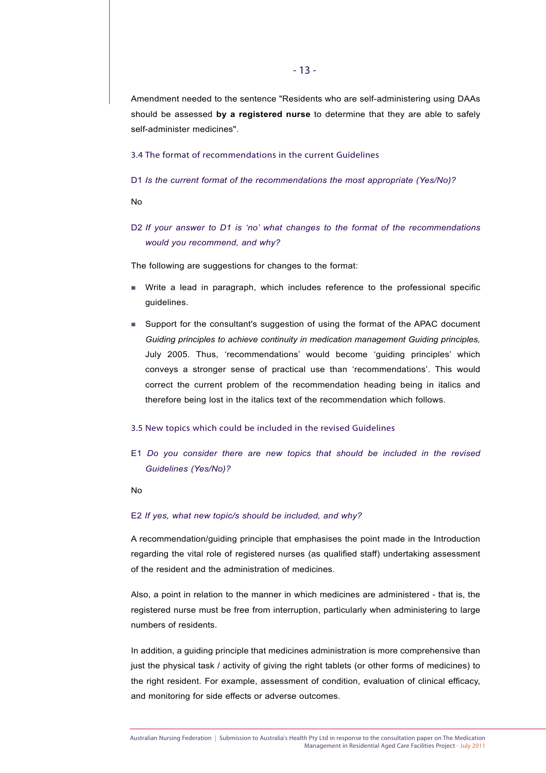Amendment needed to the sentence "Residents who are self-administering using DAAs should be assessed **by a registered nurse** to determine that they are able to safely self-administer medicines".

3.4 The format of recommendations in the current Guidelines

D1 *Is the current format of the recommendations the most appropriate (Yes/No)?*

No

D2 *If your answer to D1 is 'no' what changes to the format of the recommendations would you recommend, and why?* 

The following are suggestions for changes to the format:

- Write a lead in paragraph, which includes reference to the professional specific guidelines.
- Support for the consultant's suggestion of using the format of the APAC document *Guiding principles to achieve continuity in medication management Guiding principles,* July 2005. Thus, 'recommendations' would become 'guiding principles' which conveys a stronger sense of practical use than 'recommendations'. This would correct the current problem of the recommendation heading being in italics and therefore being lost in the italics text of the recommendation which follows.

#### 3.5 New topics which could be included in the revised Guidelines

E1 *Do you consider there are new topics that should be included in the revised Guidelines (Yes/No)?* 

No

#### E2 *If yes, what new topic/s should be included, and why?*

A recommendation/guiding principle that emphasises the point made in the Introduction regarding the vital role of registered nurses (as qualified staff) undertaking assessment of the resident and the administration of medicines.

Also, a point in relation to the manner in which medicines are administered - that is, the registered nurse must be free from interruption, particularly when administering to large numbers of residents.

In addition, a guiding principle that medicines administration is more comprehensive than just the physical task / activity of giving the right tablets (or other forms of medicines) to the right resident. For example, assessment of condition, evaluation of clinical efficacy, and monitoring for side effects or adverse outcomes.

Australian Nursing Federation | Submission to Australia's Health Pty Ltd in response to the consultation paper on The Medication Management in Residential Aged Care Facilities Project - July 2011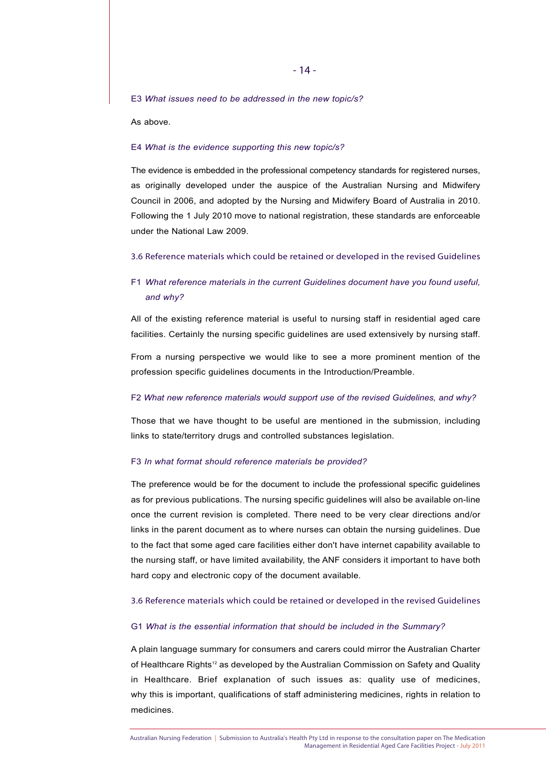E3 *What issues need to be addressed in the new topic/s?* 

As above.

#### E4 *What is the evidence supporting this new topic/s?*

The evidence is embedded in the professional competency standards for registered nurses, as originally developed under the auspice of the Australian Nursing and Midwifery Council in 2006, and adopted by the Nursing and Midwifery Board of Australia in 2010. Following the 1 July 2010 move to national registration, these standards are enforceable under the National Law 2009.

#### 3.6 Reference materials which could be retained or developed in the revised Guidelines

## F1 *What reference materials in the current Guidelines document have you found useful, and why?*

All of the existing reference material is useful to nursing staff in residential aged care facilities. Certainly the nursing specific guidelines are used extensively by nursing staff.

From a nursing perspective we would like to see a more prominent mention of the profession specific guidelines documents in the Introduction/Preamble.

#### F2 *What new reference materials would support use of the revised Guidelines, and why?*

Those that we have thought to be useful are mentioned in the submission, including links to state/territory drugs and controlled substances legislation.

#### F3 *In what format should reference materials be provided?*

The preference would be for the document to include the professional specific guidelines as for previous publications. The nursing specific guidelines will also be available on-line once the current revision is completed. There need to be very clear directions and/or links in the parent document as to where nurses can obtain the nursing guidelines. Due to the fact that some aged care facilities either don't have internet capability available to the nursing staff, or have limited availability, the ANF considers it important to have both hard copy and electronic copy of the document available.

#### 3.6 Reference materials which could be retained or developed in the revised Guidelines

#### G1 *What is the essential information that should be included in the Summary?*

A plain language summary for consumers and carers could mirror the Australian Charter of Healthcare Rights<sup>12</sup> as developed by the Australian Commission on Safety and Quality in Healthcare. Brief explanation of such issues as: quality use of medicines, why this is important, qualifications of staff administering medicines, rights in relation to medicines.

Australian Nursing Federation | Submission to Australia's Health Pty Ltd in response to the consultation paper on The Medication Management in Residential Aged Care Facilities Project - July 2011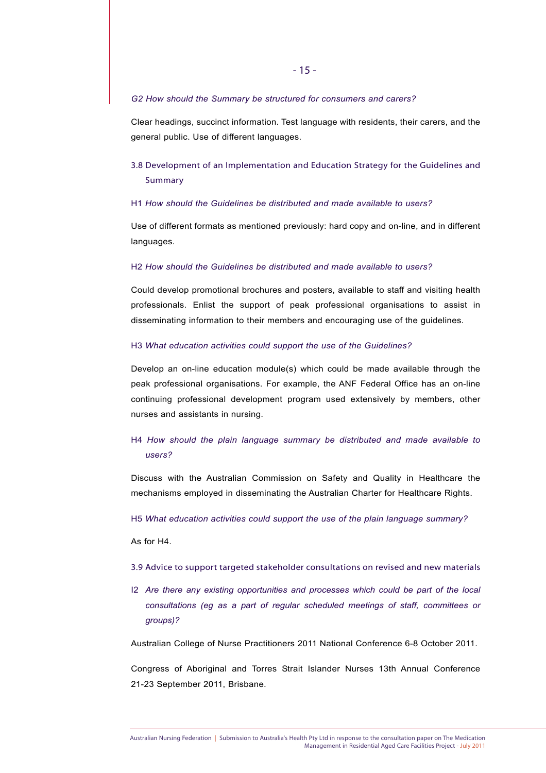#### *G2 How should the Summary be structured for consumers and carers?*

Clear headings, succinct information. Test language with residents, their carers, and the general public. Use of different languages.

# 3.8 Development of an Implementation and Education Strategy for the Guidelines and Summary

#### H1 *How should the Guidelines be distributed and made available to users?*

Use of different formats as mentioned previously: hard copy and on-line, and in different languages.

#### H2 *How should the Guidelines be distributed and made available to users?*

Could develop promotional brochures and posters, available to staff and visiting health professionals. Enlist the support of peak professional organisations to assist in disseminating information to their members and encouraging use of the guidelines.

#### H3 *What education activities could support the use of the Guidelines?*

Develop an on-line education module(s) which could be made available through the peak professional organisations. For example, the ANF Federal Office has an on-line continuing professional development program used extensively by members, other nurses and assistants in nursing.

## H4 *How should the plain language summary be distributed and made available to users?*

Discuss with the Australian Commission on Safety and Quality in Healthcare the mechanisms employed in disseminating the Australian Charter for Healthcare Rights.

H5 *What education activities could support the use of the plain language summary?* 

As for H4.

- 3.9 Advice to support targeted stakeholder consultations on revised and new materials
- I2 *Are there any existing opportunities and processes which could be part of the local consultations (eg as a part of regular scheduled meetings of staff, committees or groups)?*

Australian College of Nurse Practitioners 2011 National Conference 6-8 October 2011.

Congress of Aboriginal and Torres Strait Islander Nurses 13th Annual Conference 21-23 September 2011, Brisbane.

Australian Nursing Federation | Submission to Australia's Health Pty Ltd in response to the consultation paper on The Medication Management in Residential Aged Care Facilities Project - July 2011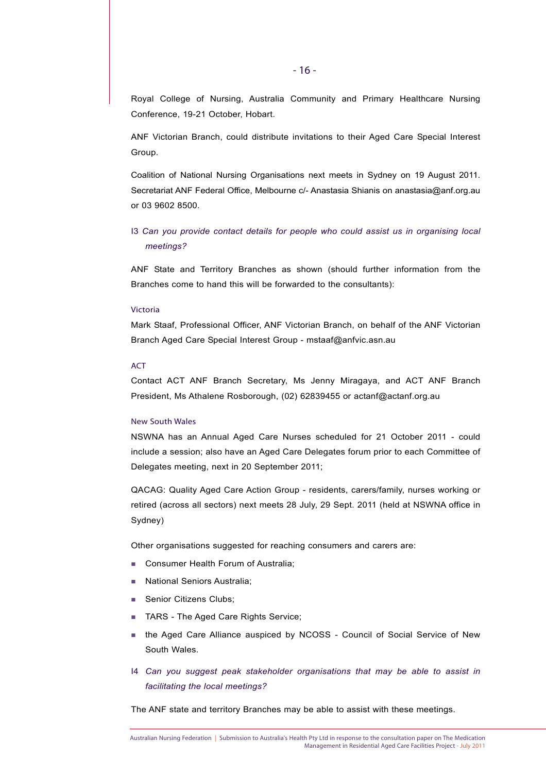Royal College of Nursing, Australia Community and Primary Healthcare Nursing Conference, 19-21 October, Hobart.

ANF Victorian Branch, could distribute invitations to their Aged Care Special Interest Group.

Coalition of National Nursing Organisations next meets in Sydney on 19 August 2011. Secretariat ANF Federal Office, Melbourne c/- Anastasia Shianis on anastasia@anf.org.au or 03 9602 8500.

# I3 *Can you provide contact details for people who could assist us in organising local meetings?*

ANF State and Territory Branches as shown (should further information from the Branches come to hand this will be forwarded to the consultants):

#### Victoria

Mark Staaf, Professional Officer, ANF Victorian Branch, on behalf of the ANF Victorian Branch Aged Care Special Interest Group - mstaaf@anfvic.asn.au

#### ACT

Contact ACT ANF Branch Secretary, Ms Jenny Miragaya, and ACT ANF Branch President, Ms Athalene Rosborough, (02) 62839455 or actanf@actanf.org.au

#### New South Wales

NSWNA has an Annual Aged Care Nurses scheduled for 21 October 2011 - could include a session; also have an Aged Care Delegates forum prior to each Committee of Delegates meeting, next in 20 September 2011;

QACAG: Quality Aged Care Action Group - residents, carers/family, nurses working or retired (across all sectors) next meets 28 July, 29 Sept. 2011 (held at NSWNA office in Sydney)

Other organisations suggested for reaching consumers and carers are:

- **Consumer Health Forum of Australia;**
- **National Seniors Australia;**
- Senior Citizens Clubs;
- TARS The Aged Care Rights Service;
- **the Aged Care Alliance auspiced by NCOSS Council of Social Service of New** South Wales.
- I4 *Can you suggest peak stakeholder organisations that may be able to assist in facilitating the local meetings?*

The ANF state and territory Branches may be able to assist with these meetings.